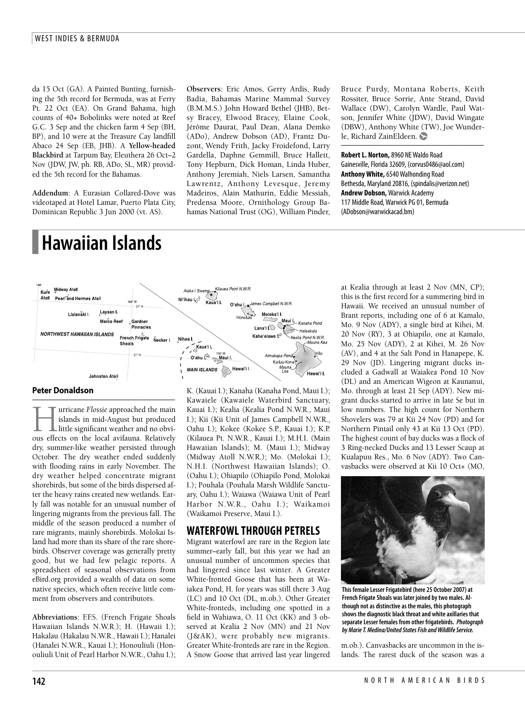da 15 Oct (GA). A Painted Bunting, furnishing the 5th record for Bermuda, was at Ferry Pt. 22 Oct (EA). On Grand Bahama, high counts of 40+ Bobolinks were noted at Reef G.C. 3 Sep and the chicken farm 4 Sep (BH, BP), and 10 were at the Treasure Cay landfill Abaco 24 Sep (EB, JHB). A **Yellow-headed Blackbird** at Tarpum Bay, Eleuthera 26 Oct–2 Nov (JDW, JW, ph. RB, ADo, SL, MR) provided the 5th record for the Bahamas.

**Addendum**: A Eurasian Collared-Dove was videotaped at Hotel Lamar, Puerto Plata City, Dominican Republic 3 Jun 2000 (vt. AS).

# **Hawaiian Islands**

**Observers**: Eric Amos, Gerry Ardis, Rudy Badia, Bahamas Marine Mammal Survey (B.M.M.S.) John Howard Bethel (JHB), Betsy Bracey, Elwood Bracey, Elaine Cook, Jérôme Daurat, Paul Dean, Alana Demko (ADo), Andrew Dobson (AD), Frantz Duzont, Wendy Frith, Jacky Froidefond, Larry Gardella, Daphne Gemmill, Bruce Hallett, Tony Hepburn, Dick Homan, Linda Huber, Anthony Jeremiah, Niels Larsen, Samantha Lawrentz, Anthony Levesque, Jeremy Madeiros, Alain Mathurin, Eddie Messiah, Predensa Moore, Ornithology Group Bahamas National Trust (OG), William Pinder,

Bruce Purdy, Montana Roberts, Keith Rossiter, Bruce Sorrie, Ante Strand, David Wallace (DW), Carolyn Wardle, Paul Watson, Jennifer White (JDW), David Wingate (DBW), Anthony White (TW), Joe Wunderle, Richard ZainEldeen.

––––––––––––––––––––––––––––––––––––––

**RobertL. Norton,**8960 NEWaldo Road Gainesville, Florida32609, (corvus0486@aol.com) **AnthonyWhite,**6540Walhonding Road Bethesda, Maryland 20816, (spindalis@verizon.net) **Andrew Dobson,** Warwick Academy 117 Middle Road, Warwick PG 01, Bermuda (ADobson@warwickacad.bm)



### **Peter Donaldson**

–––––––––––––––––––––––––––––––––––––– **Hurricane** *Flossie* approached the main<br>
silands in mid-August but produced<br>
little significant weather and no obvi-<br>
ous effects on the local avifauna. Relatively islands in mid-August but produced little significant weather and no obvious effects on the local avifauna. Relatively dry, summer-like weather persisted through October. The dry weather ended suddenly with flooding rains in early November. The dry weather helped concentrate migrant shorebirds, but some of the birds dispersed after the heavy rains created new wetlands. Early fall was notable for an unusual number of lingering migrants from the previous fall. The middle of the season produced a number of rare migrants, mainly shorebirds. Molokai Island had more than its share of the rare shorebirds. Observer coverage was generally pretty good, but we had few pelagic reports. A spreadsheet of seasonal observations from eBird.org provided a wealth of data on some native species, which often receive little comment from observers and contributors.

**Abbreviations**: F.F.S. (French Frigate Shoals Hawaiian Islands N.W.R.); H. (Hawaii I.); Hakalau (Hakalau N.W.R., Hawaii I.); Hanalei (Hanalei N.W.R., Kauai I.); Honouliuli (Honouliuli Unit of Pearl Harbor N.W.R., Oahu I.); K. (Kauai I.); Kanaha (Kanaha Pond, Maui I.); Kawaiele (Kawaiele Waterbird Sanctuary, Kauai I.); Kealia (Kealia Pond N.W.R., Maui I.); Kii (Kii Unit of James Campbell N.W.R., Oahu I.); Kokee (Kokee S.P., Kauai I.); K.P. (Kilauea Pt. N.W.R., Kauai I.); M.H.I. (Main Hawaiian Islands); M. (Maui I.); Midway (Midway Atoll N.W.R.); Mo. (Molokai I.); N.H.I. (Northwest Hawaiian Islands); O. (Oahu I.); Ohiapilo (Ohiapilo Pond, Molokai I.); Pouhala (Pouhala Marsh Wildlife Sanctuary, Oahu I.); Waiawa (Waiawa Unit of Pearl Harbor N.W.R., Oahu I.); Waikamoi (Waikamoi Preserve, Maui I.).

# **WATERFOWLTHROUGH PETRELS**

Migrant waterfowl are rare in the Region late summer–early fall, but this year we had an unusual number of uncommon species that had lingered since last winter. A Greater White-fronted Goose that has been at Waiakea Pond, H. for years was still there 3 Aug (LC) and 10 Oct (DL, m.ob.). Other Greater White-fronteds, including one spotted in a field in Wahiawa, O. 11 Oct (KK) and 3 observed at Kealia 2 Nov (MN) and 21 Nov (J&AK), were probably new migrants. Greater White-fronteds are rare in the Region. A Snow Goose that arrived last year lingered at Kealia through at least 2 Nov (MN, CP); this is the first record for a summering bird in Hawaii. We received an unusual number of Brant reports, including one of 6 at Kamalo, Mo. 9 Nov (ADY), a single bird at Kihei, M. 20 Nov (RY), 3 at Ohiapilo, one at Kamalo, Mo. 25 Nov (ADY), 2 at Kihei, M. 26 Nov (AV), and 4 at the Salt Pond in Hanapepe, K. 29 Nov (JD). Lingering migrant ducks included a Gadwall at Waiakea Pond 10 Nov (DL) and an American Wigeon at Kaunanui, Mo. through at least 21 Sep (ADY). New migrant ducks started to arrive in late Se but in low numbers. The high count for Northern Shovelers was 79 at Kii 24 Nov (PD) and for Northern Pintail only 43 at Kii 13 Oct (PD). The highest count of bay ducks was a flock of 3 Ring-necked Ducks and 13 Lesser Scaup at Kualapuu Res., Mo. 6 Nov (ADY). Two Canvasbacks were observed at Kii 10 Oct+ (MO,



**This femaleLesserFrigatebird (here 25 October 2007)at French Frigate Shoals was later joined by two males. Although notas distinctiveas the males, this photograph shows the diagnostic blackthroatand whiteaxillaries that separateLesser females from other frigatebirds.** *Photograph by MarieT. Medina/United StatesFish andWildlifeService.*

m.ob.). Canvasbacks are uncommon in the islands. The rarest duck of the season was a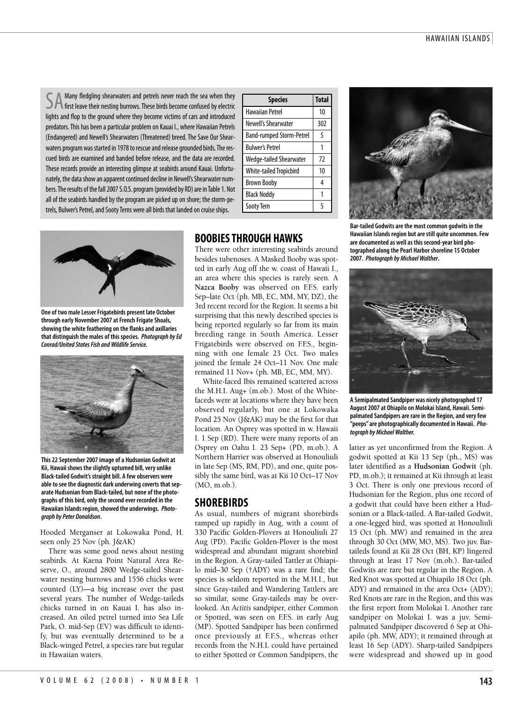SA Many fledgling shearwaters and petrels never reach the sea when they<br>SA first leave their nesting burrows. These birds become confused by electric lights and flop to the ground where they become victims of cars and introduced predators. This has been a particular problem on Kauai I., where Hawaiian Petrels (Endangered) and Newell's Shearwaters (Threatened) breed. The Save Our Shearwaters program was started in 1978 to rescue and release grounded birds. The rescued birds are examined and banded before release, and the data are recorded. These records provide an interesting glimpse at seabirds around Kauai. Unfortunately, the data show an apparent continued decline in Newell's Shearwater numbers. The results of the fall 2007 S.O.S. program (provided by RD) are in Table 1. Not all of the seabirds handled by the program are picked up on shore; the storm-petrels, Bulwer's Petrel, and Sooty Terns were all birds that landed on cruise ships.



**One of two maleLesserFrigatebirds present late October through early November 2007 at French Frigate Shoals, showing the whitefeathering on theflanksand axillaries that distinguish the males of this species.** *Photograph byEd* **Conrad/United States Fish and Wildlife Service.** 



**This 22 September 2007 image ofa Hudsonian Godwitat Kii, Hawaii shows theslightly upturned bill,very unlike Black-tailed Godwit's straight bill. A few observers were ableto seethe diagnostic dark underwing coverts that separate Hudsonian from Black-tailed, but none of the photographs of this bird, onlythesecond ever recorded in the Hawaiian Islands region, showed the underwings.** *Photograph by Peter Donaldson***.**

Hooded Merganser at Lokowaka Pond, H. seen only 25 Nov (ph. J&AK)

There was some good news about nesting seabirds. At Kaena Point Natural Area Reserve, O., around 2800 Wedge-tailed Shearwater nesting burrows and 1556 chicks were counted (LY)—a big increase over the past several years. The number of Wedge-taileds chicks turned in on Kauai I. has also increased. An oiled petrel turned into Sea Life Park, O. mid-Sep (EV) was difficult to identify, but was eventually determined to be a Black-winged Petrel, a species rare but regular in Hawaiian waters.

## **Species Total** Hawaiian Petrel 10 Newell's Shearwater 1302 Band-rumped Storm-Petrel | 5 Bulwer's Petrel 1 Wedge-tailed Shearwater 72 White-tailed Tropicbird | 10 Brown Booby 14 Black Noddy 1 Sooty Tern 5

# **BOOBIESTHROUGH HAWKS**

There were other interesting seabirds around besides tubenoses. A Masked Booby was spotted in early Aug off the w. coast of Hawaii I., an area where this species is rarely seen. A Nazca Booby was observed on F.F.S. early Sep–late Oct (ph. MB, EC, MM, MY, DZ), the 3rd recent record for the Region. It seems a bit surprising that this newly described species is being reported regularly so far from its main breeding range in South America. Lesser Frigatebirds were observed on F.F.S., beginning with one female 23 Oct. Two males joined the female 24 Oct–11 Nov. One male remained 11 Nov+ (ph. MB, EC, MM, MY).

White-faced Ibis remained scattered across the M.H.I. Aug+ (m.ob.). Most of the Whitefaceds were at locations where they have been observed regularly, but one at Lokowaka Pond 25 Nov (J&AK) may be the first for that location. An Osprey was spotted in w. Hawaii I. 1 Sep (RD). There were many reports of an Osprey on Oahu I. 23 Sep+ (PD, m.ob.). A Northern Harrier was observed at Honouliuli in late Sep (MS, RM, PD), and one, quite possibly the same bird, was at Kii 10 Oct–17 Nov (MO, m.ob.).

# **SHOREBIRDS**

As usual, numbers of migrant shorebirds ramped up rapidly in Aug, with a count of 330 Pacific Golden-Plovers at Honouliuli 27 Aug (PD). Pacific Golden-Plover is the most widespread and abundant migrant shorebird in the Region. A Gray-tailed Tattler at Ohiapilo mid–30 Sep (†ADY) was a rare find; the species is seldom reported in the M.H.I., but since Gray-tailed and Wandering Tattlers are so similar, some Gray-taileds may be overlooked. An *Actitis* sandpiper, either Common or Spotted, was seen on F.F.S. in early Aug (MP). Spotted Sandpiper has been confirmed once previously at F.F.S., whereas other records from the N.H.I. could have pertained to either Spotted or Common Sandpipers, the



**Bar-tailed Godwitsarethe most common godwits in the Hawaiian Islands region butarestill quite uncommon.Few are documented as wellas this second-year bird photographed along the Pearl Harbor shoreline 15 October 2007.** *Photograph by MichaelWalther***.**



**A Semipalmated Sandpiper was nicely photographed 17 August 2007 at Ohiapilo on Molokai Island, Hawaii.Semipalmated Sandpipersarerarein the Region,and veryfew "peeps"are photographically documented in Hawaii.** *Photograph by MichaelWalther.*

latter as yet unconfirmed from the Region. A godwit spotted at Kii 13 Sep (ph., MS) was later identified as a **Hudsonian Godwit** (ph. PD, m.ob.); it remained at Kii through at least 3 Oct. There is only one previous record of Hudsonian for the Region, plus one record of a godwit that could have been either a Hudsonian or a Black-tailed. A Bar-tailed Godwit, a one-legged bird, was spotted at Honouliuli 15 Oct (ph. MW) and remained in the area through 30 Oct (MW, MO, MS). Two juv. Bartaileds found at Kii 28 Oct (BH, KP) lingered through at least 17 Nov (m.ob.). Bar-tailed Godwits are rare but regular in the Region. A Red Knot was spotted at Ohiapilo 18 Oct (ph. ADY) and remained in the area Oct+ (ADY); Red Knots are rare in the Region, and this was the first report from Molokai I. Another rare sandpiper on Molokai I. was a juv. Semipalmated Sandpiper discovered 6 Sep at Ohiapilo (ph. MW, ADY); it remained through at least 16 Sep (ADY). Sharp-tailed Sandpipers were widespread and showed up in good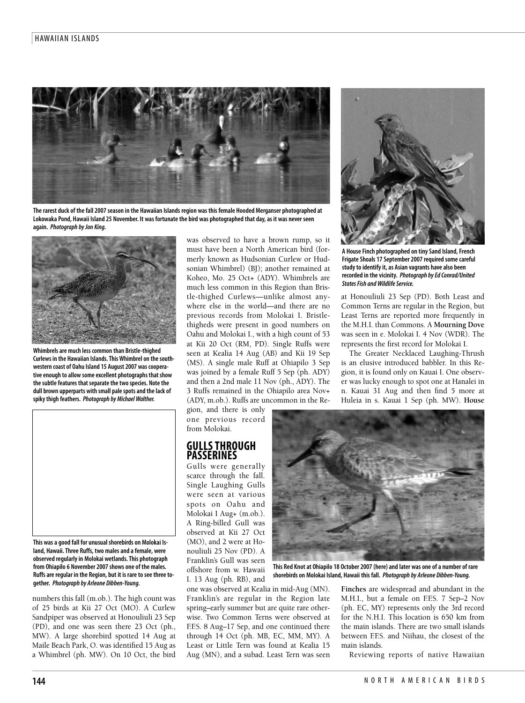### HAWAIIAN ISLANDS



The rarest duck of the fall 2007 season in the Hawaiian Islands region was this female Hooded Merganser photographed at Lokowaka Pond, Hawaii Island 25 November. It was fortunate the bird was photographed that day, as it was never seen **again.** *Photograph byJon King.*



**Whimbrelsare much less common than Bristle-thighed Curlews in the Hawaiian Islands.ThisWhimbrel on thesouthwestern coast of Oahu Island 15 August 2007 was cooperativeenough to allow someexcellent photographs that show the subtle features that separate the two species. Note the dull brown upperparts with small palespotsand thelack of spikythigh feathers.** *Photograph by MichaelWalther.*



**This wasa good fall for unusual shorebirds on Molokai Island, Hawaii.Three Ruffs, two malesand afemale, were observed regularlyin Molokai wetlands.This photograph from Ohiapilo 6 November 2007 shows one of the males. Ruffsareregular in the Region, but it is rareto seethreetogether.** *Photograph by Arleone Dibben-Young.*

numbers this fall (m.ob.). The high count was of 25 birds at Kii 27 Oct (MO). A Curlew Sandpiper was observed at Honouliuli 23 Sep (PD), and one was seen there 23 Oct (ph., MW). A large shorebird spotted 14 Aug at Maile Beach Park, O. was identified 15 Aug as a Whimbrel (ph. MW). On 10 Oct, the bird

was observed to have a brown rump, so it must have been a North American bird (formerly known as Hudsonian Curlew or Hudsonian Whimbrel) (BJ); another remained at Koheo, Mo. 25 Oct+ (ADY). Whimbrels are much less common in this Region than Bristle-thighed Curlews—unlike almost anywhere else in the world—and there are no previous records from Molokai I. Bristlethigheds were present in good numbers on Oahu and Molokai I., with a high count of 53 at Kii 20 Oct (RM, PD). Single Ruffs were seen at Kealia 14 Aug (AB) and Kii 19 Sep (MS). A single male Ruff at Ohiapilo 3 Sep was joined by a female Ruff 5 Sep (ph. ADY) and then a 2nd male 11 Nov (ph., ADY). The 3 Ruffs remained in the Ohiapilo area Nov+ (ADY, m.ob.). Ruffs are uncommon in the Re-

gion, and there is only one previous record from Molokai.

## **GULLSTHROUGH PASSERINES**

Gulls were generally scarce through the fall. Single Laughing Gulls were seen at various spots on Oahu and Molokai I Aug+ (m.ob.). A Ring-billed Gull was observed at Kii 27 Oct (MO), and 2 were at Honouliuli 25 Nov (PD). A Franklin's Gull was seen offshore from w. Hawaii I. 13 Aug (ph. RB), and

one was observed at Kealia in mid-Aug (MN). Franklin's are regular in the Region late spring–early summer but are quite rare otherwise. Two Common Terns were observed at F.F.S. 8 Aug–17 Sep, and one continued there through 14 Oct (ph. MB, EC, MM, MY). A Least or Little Tern was found at Kealia 15 Aug (MN), and a subad. Least Tern was seen



**A HouseFinch photographed on tinySand Island,French Frigate Shoals 17 September 2007 required some careful studyto identifyit,as Asian vagrants havealso been recorded in thevicinity.** *Photograph byEd Conrad/United* **States Fish and Wildlife Service.** 

at Honouliuli 23 Sep (PD). Both Least and Common Terns are regular in the Region, but Least Terns are reported more frequently in the M.H.I. than Commons. A **Mourning Dove** was seen in e. Molokai I. 4 Nov (WDR). The represents the first record for Molokai I.

The Greater Necklaced Laughing-Thrush is an elusive introduced babbler. In this Region, it is found only on Kauai I. One observer was lucky enough to spot one at Hanalei in n. Kauai 31 Aug and then find 5 more at Huleia in s. Kauai 1 Sep (ph. MW). **House**



**This Red Knotat Ohiapilo 18 October 2007 (here)and later was one ofa number of rare shorebirds on Molokai Island, Hawaii this fall.** *Photograph by Arleone Dibben-Young.*

**Finches** are widespread and abundant in the M.H.I., but a female on F.F.S. 7 Sep–2 Nov (ph. EC, MY) represents only the 3rd record for the N.H.I. This location is 650 km from the main islands. There are two small islands between F.F.S. and Niihau, the closest of the main islands.

Reviewing reports of native Hawaiian